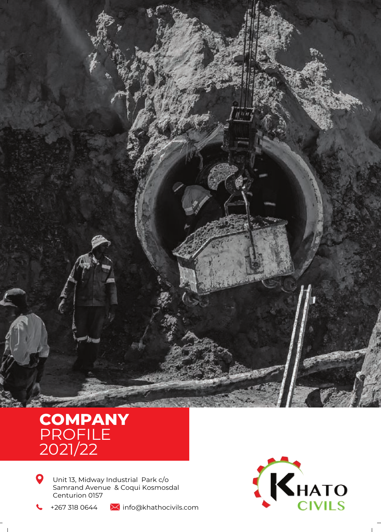

# **COMPANY** PROFILE 2021/22

 $\bullet$ Unit 13, Midway Industrial Park c/o Samrand Avenue & Coqui Kosmosdal Centurion 0157

+267 318 0644  $\overline{\mathsf{M}}$  info@khathocivils.com

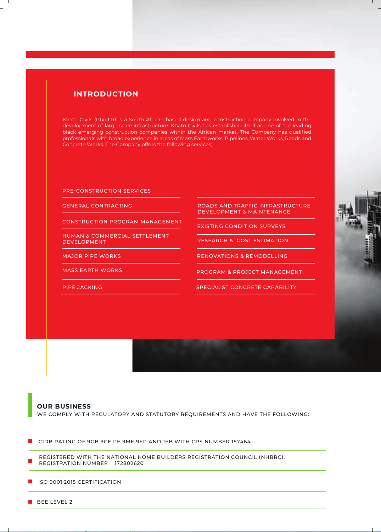# **INTRODUCTION**

Khato Civils (Pty) Ltd is a South African based design and construction company involved in the development of large scale infrastructure. Khato Civils has established itself as one of the leading black emerging construction companies within the African market. The Company has qualified professionals with broad experience in areas of Mass Earthworks, Pipelines, Water Works, Roads and Concrete Works. The Company offers the following services;

PRE-CONSTRUCTION SERVICES

GENERAL CONTRACTING

CONSTRUCTION PROGRAM MANAGEMENT

HUMAN & COMMERCIAL SETTLEMENT DEVELOPMENT

MAJOR PIPE WORKS

MASS EARTH WORKS

PIPE JACKING

ROADS AND TRAFFIC INFRASTRUCTURE DEVELOPMENT & MAINTENANCE

EXISTING CONDITION SURVEYS

RESEARCH & COST ESTIMATION

RENOVATIONS & REMODELLING

PROGRAM & PROJECT MANAGEMENT

SPECIALIST CONCRETE CAPABILITY



# **OUR BUSINESS** WE COMPLY WITH REGULATORY AND STATUTORY REQUIREMENTS AND HAVE THE FOLLOWING:

CIDB RATING OF 9GB 9CE PE 9ME 9EP AND 1EB WITH CRS NUMBER 157464

REGISTERED WITH THE NATIONAL HOME BUILDERS REGISTRATION COUNCIL (NHBRC), REGISTRATION NUMBER 172802620

**ISO 9001:2015 CERTIFICATION** 

BEE LEVEL 2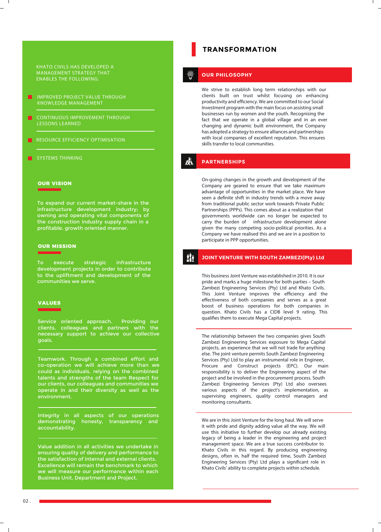KHATO CIVILS HAS DEVELOPED A MANAGEMENT STRATEGY THAT ENABLES THE FOLLOWING:

- IMPROVED PROJECT VALUE THROUGH KNOWLEDGE MANAGEMENT
- CONTINUOUS IMPROVEMENT THROUGH LESSONS LEARNED
- RESOURCE EFFICIENCY OPTIMISATION
- SYSTEMS THINKING

# **OUR VISION**

To expand our current market-share in the infrastructure development industry; by owning and operating vital components of the construction industry supply chain in a profitable, growth oriented manner.

# **OUR MISSION**

To execute strategic infrastructure development projects in order to contribute to the upliftment and development of the communities we serve.

### **VALUES**

Service oriented approach. Providing our clients, colleagues and partners with the necessary support to achieve our collective goals.

Teamwork. Through a combined effort and co-operation we will achieve more than we could as individuals, relying on the combined talents and strengths of the team Respect for our clients, our colleagues and communities we operate in and their diversity as well as the environment.

Integrity in all aspects of our operations demonstrating honesty, transparency and accountability.

Value addition in all activities we undertake in ensuring quality of delivery and performance to the satisfaction of internal and external clients. Excellence will remain the benchmark to which we will measure our performance within each Business Unit, Department and Project.

# **TRANSFORMATION**

# **OUR PHILOSOPHY**

We strive to establish long term relationships with our clients built on trust whilst focusing on enhancing productivity and efficiency. We are committed to our Social Investment program with the main focus on assisting small businesses run by women and the youth. Recognising the fact that we operate in a global village and in an ever changing and dynamic built environment, the Company has adopted a strategy to ensure alliances and partnerships with local companies of excellent reputation. This ensures skills transfer to local communities.

#### Å **PARTNERSHIPS**

On-going changes in the growth and development of the Company are geared to ensure that we take maximum advantage of opportunities in the market place. We have seen a definite shift in industry trends with a move away from traditional public sector work towards Private Public Partnerships (PPPs). This comes about as a realization that governments worldwide can no longer be expected to carry the burden of infrastructure development alone given the many competing socio-political priorities. As a Company we have realised this and we are in a position to participate in PPP opportunities.

#### il. **JOINT VENTURE WITH SOUTH ZAMBEZI(Pty) Ltd**

This business Joint Venture was established in 2010. It is our pride and marks a huge milestone for both parties – South Zambezi Engineering Services (Pty) Ltd and Khato Civils. This Joint Venture improves the efficiency and the effectiveness of both companies and serves as a great boost of business operations for both companies in question. Khato Civils has a CIDB level 9 rating. This qualifies them to execute Mega Capital projects.

The relationship between the two companies gives South Zambezi Engineering Services exposure to Mega Capital projects, an experience that we will not trade for anything else. The joint venture permits South Zambezi Engineering Services (Pty) Ltd to play an instrumental role in Engineer, Procure and Construct projects (EPC). Our main responsibility is to deliver the Engineering aspect of the project and be involved in the procurement process. South Zambezi Engineering Services (Pty) Ltd also oversees various aspects of the project's implementation, as supervising engineers, quality control managers and monitoring consultants.

We are in this Joint Venture for the long haul. We will serve it with pride and dignity adding value all the way. We will use this initiative to further develop our already existing legacy of being a leader in the engineering and project management space. We are a true success contributor to Khato Civils in this regard. By producing engineering designs, often in, half the required time, South Zambezi Engineering Services (Pty) Ltd plays a significant role in Khato Civils' ability to complete projects within schedule.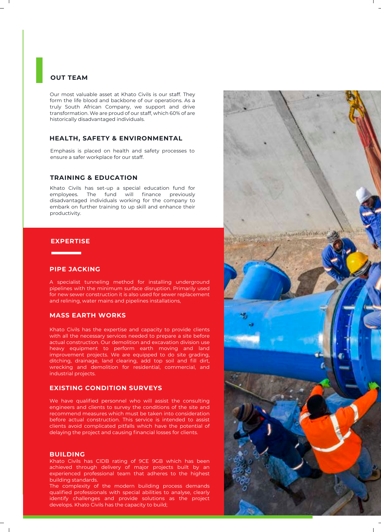# **OUT TEAM**

Our most valuable asset at Khato Civils is our staff. They form the life blood and backbone of our operations. As a truly South African Company, we support and drive transformation. We are proud of our staff, which 60% of are historically disadvantaged individuals.

# **HEALTH, SAFETY & ENVIRONMENTAL**

Emphasis is placed on health and safety processes to ensure a safer workplace for our staff.

# **TRAINING & EDUCATION**

Khato Civils has set-up a special education fund for employees. The fund will finance previously disadvantaged individuals working for the company to embark on further training to up skill and enhance their productivity.

# **EXPERTISE**

# **PIPE JACKING**

A specialist tunneling method for installing underground pipelines with the minimum surface disruption. Primarily used for new sewer construction it is also used for sewer replacement and relining, water mains and pipelines installations,

# **MASS EARTH WORKS**

Khato Civils has the expertise and capacity to provide clients with all the necessary services needed to prepare a site before actual construction. Our demolition and excavation division use heavy equipment to perform earth moving and land improvement projects. We are equipped to do site grading, ditching, drainage, land clearing, add top soil and fill dirt, wrecking and demolition for residential, commercial, and industrial projects.

# **EXISTING CONDITION SURVEYS**

We have qualified personnel who will assist the consulting engineers and clients to survey the conditions of the site and recommend measures which must be taken into consideration before actual construction. This service is intended to assist clients avoid complicated pitfalls which have the potential of delaying the project and causing financial losses for clients.

# **BUILDING**

Khato Civils has CIDB rating of 9CE 9GB which has been achieved through delivery of major projects built by an experienced professional team that adheres to the highest building standards.

The complexity of the modern building process demands qualified professionals with special abilities to analyse, clearly identify challenges and provide solutions as the project develops. Khato Civils has the capacity to build;

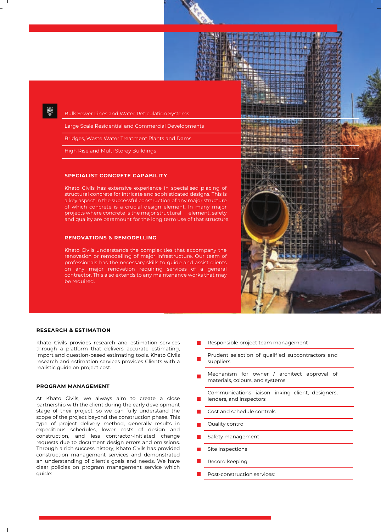

Bulk Sewer Lines and Water Reticulation Systems

Large Scale Residential and Commercial Developments

Bridges, Waste Water Treatment Plants and Dams

High Rise and Multi Storey Buildings

# **SPECIALIST CONCRETE CAPABILITY**

Khato Civils has extensive experience in specialised placing of structural concrete for intricate and sophisticated designs. This is a key aspect in the successful construction of any major structure of which concrete is a crucial design element. In many major projects where concrete is the major structural element, safety and quality are paramount for the long term use of that structure.

# **RENOVATIONS & REMODELLING**

Khato Civils understands the complexities that accompany the renovation or remodelling of major infrastructure. Our team of professionals has the necessary skills to guide and assist clients on any major renovation requiring services of a general contractor. This also extends to any maintenance works that may be required.

# **RESEARCH & ESTIMATION**

Khato Civils provides research and estimation services through a platform that delivers accurate estimating, import and question-based estimating tools. Khato Civils research and estimation services provides Clients with a realistic guide on project cost.

#### **PROGRAM MANAGEMENT**

At Khato Civils, we always aim to create a close partnership with the client during the early development stage of their project, so we can fully understand the scope of the project beyond the construction phase. This type of project delivery method, generally results in expeditious schedules, lower costs of design and construction, and less contractor-initiated change requests due to document design errors and omissions. Through a rich success history, Khato Civils has provided construction management services and demonstrated an understanding of client's goals and needs. We have clear policies on program management service which guide:



- Responsible project team management
- Prudent selection of qualified subcontractors and suppliers
- Mechanism for owner / architect approval of materials, colours, and systems
- Communications liaison linking client, designers, lenders, and inspectors
- Cost and schedule controls
- Quality control
- Safety management
- Site inspections
- Record keeping
- Post-construction services: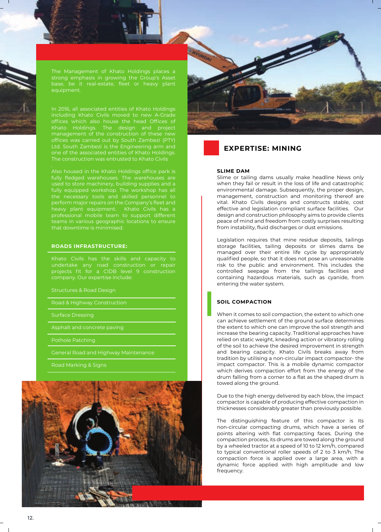

In 2016, all associated entities of Khato Holdings offices which also house the head Offices of Khato Holdings. The design and project management of the construction of these new one of the associated entities of Khato Holdings. The construction was entrusted to Khato Civils

fully fledged warehouses. The warehouses are used to store machinery, building supplies and a fully equipped workshop. The workshop has all perform major repairs on the Company's fleet and heavy plant equipment. Khato Civils has a professional mobile team to support different teams in various geographic locations to ensure

#### **ROADS INFRASTRUCTURE:**

Khato Civils has the skills and capacity to projects fit for a CIDB level 9 construction company. Our expertise include:

Structures & Road Design

Road & Highway Construction

Pothole Patching

General Road and Highway Maintenance

Road Marking & Signs





# **EXPERTISE: MINING**

#### **SLIME DAM**

Slime or tailing dams usually make headline News only when they fail or result in the loss of life and catastrophic environmental damage. Subsequently, the proper design, management, construction and monitoring thereof are vital. Khato Civils designs and constructs stable, cost effective and legislation compliant surface facilities.Our design and construction philosophy aims to provide clients peace of mind and freedom from costly surprises resulting from instability, fluid discharges or dust emissions.

Legislation requires that mine residue deposits, tailings storage facilities, tailing deposits or slimes dams be managed over their entire life cycle by appropriately qualified people, so that it does not pose an unreasonable risk to the public and environment. This includes the controlled seepage from the tailings facilities and containing hazardous materials, such as cyanide, from entering the water system.

# **SOIL COMPACTION**

When it comes to soil compaction, the extent to which one can achieve settlement of the ground surface determines the extent to which one can improve the soil strength and increase the bearing capacity. Traditional approaches have relied on static weight, kneading action or vibratory rolling of the soil to achieve the desired improvement in strength and bearing capacity. Khato Civils breaks away from tradition by utilising a non-circular impact compactor- the impact compactor. This is a mobile dynamic compactor which derives compaction effort from the energy of the drum falling from a corner to a flat as the shaped drum is towed along the ground.

Due to the high energy delivered by each blow, the impact compactor is capable of producing effective compaction in thicknesses considerably greater than previously possible.

The distinguishing feature of this compactor is its non-circular compacting drums, which have a series of points altering with flat compacting faces. During the compaction process, its drums are towed along the ground by a wheeled tractor at a speed of 10 to 12 km/h, compared to typical conventional roller speeds of 2 to 3 km/h. The compaction force is applied over a large area, with a dynamic force applied with high amplitude and low frequency.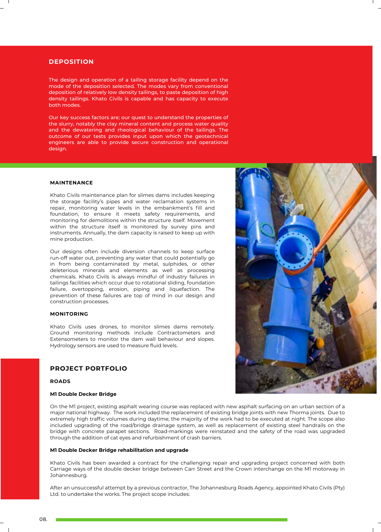# **DEPOSITION**

The design and operation of a tailing storage facility depend on the mode of the deposition selected. The modes vary from conventional deposition of relatively low density tailings, to paste deposition of high density tailings. Khato Civils is capable and has capacity to execute both modes.

Our key success factors are; our quest to understand the properties of the slurry, notably the clay mineral content and process water quality and the dewatering and rheological behaviour of the tailings. The outcome of our tests provides input upon which the geotechnical engineers are able to provide secure construction and operational design.

# **MAINTENANCE**

Khato Civils maintenance plan for slimes dams includes keeping the storage facility's pipes and water reclamation systems in repair, monitoring water levels in the embankment's fill and foundation, to ensure it meets safety requirements, and monitoring for demolitions within the structure itself. Movement within the structure itself is monitored by survey pins and instruments. Annually, the dam capacity is raised to keep up with mine production.

Our designs often include diversion channels to keep surface run-off water out, preventing any water that could potentially go in from being contaminated by metal, sulphides, or other deleterious minerals and elements as well as processing chemicals. Khato Civils is always mindful of industry failures in tailings facilities which occur due to rotational sliding, foundation failure, overtopping, erosion, piping and liquefaction. The prevention of these failures are top of mind in our design and construction processes.

#### **MONITORING**

Khato Civils uses drones, to monitor slimes dams remotely. Ground monitoring methods include Contractometers and Extensometers to monitor the dam wall behaviour and slopes. Hydrology sensors are used to measure fluid levels.

# **PROJECT PORTFOLIO**

#### **ROADS**

#### **M1 Double Decker Bridge**

On the M1 project, existing asphalt wearing course was replaced with new asphalt surfacing on an urban section of a major national highway. The work included the replacement of existing bridge joints with new Thorma joints. Due to extremely high traffic volumes during daytime, the majority of the work had to be executed at night. The scope also included upgrading of the road/bridge drainage system, as well as replacement of existing steel handrails on the bridge with concrete parapet sections. Road-markings were reinstated and the safety of the road was upgraded through the addition of cat eyes and refurbishment of crash barriers.

### **M1 Double Decker Bridge rehabilitation and upgrade**

Khato Civils has been awarded a contract for the challenging repair and upgrading project concerned with both Carriage ways of the double decker bridge between Carr Street and the Crown interchange on the M1 motorway in Johannesburg.

After an unsuccessful attempt by a previous contractor, The Johannesburg Roads Agency, appointed Khato Civils (Pty) Ltd. to undertake the works. The project scope includes:

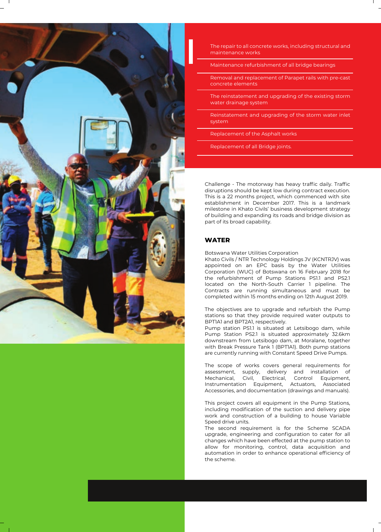

The repair to all concrete works, including structural and maintenance works

Maintenance refurbishment of all bridge bearings

Removal and replacement of Parapet rails with pre-cast concrete elements

The reinstatement and upgrading of the existing storm water drainage system

Reinstatement and upgrading of the storm water inlet system

Replacement of the Asphalt works

Replacement of all Bridge joints.

Challenge - The motorway has heavy traffic daily. Traffic disruptions should be kept low during contract execution. This is a 22 months project, which commenced with site establishment in December 2017. This is a landmark milestone in Khato Civils' business development strategy of building and expanding its roads and bridge division as part of its broad capability.

# **WATER**

Botswana Water Utilities Corporation

Khato Civils / NTR Technology Holdings JV (KCNTRJV) was appointed on an EPC basis by the Water Utilities Corporation (WUC) of Botswana on 16 February 2018 for the refurbishment of Pump Stations PS1.1 and PS2.1 located on the North-South Carrier 1 pipeline. The Contracts are running simultaneous and must be completed within 15 months ending on 12th August 2019.

The objectives are to upgrade and refurbish the Pump stations so that they provide required water outputs to BPT1A1 and BPT2A1, respectively.

Pump station PS1.1 is situated at Letsibogo dam, while Pump Station PS2.1 is situated approximately 32.6km downstream from Letsibogo dam, at Moralane, together with Break Pressure Tank 1 (BPT1A1). Both pump stations are currently running with Constant Speed Drive Pumps.

The scope of works covers general requirements for assessment, supply, delivery and installation of Mechanical, Civil, Electrical, Control Equipment, Instrumentation Equipment, Actuators, Associated Accessories, and documentation (drawings and manuals).

This project covers all equipment in the Pump Stations, including modification of the suction and delivery pipe work and construction of a building to house Variable Speed drive units.

The second requirement is for the Scheme SCADA upgrade, engineering and configuration to cater for all changes which have been effected at the pump station to allow for monitoring, control, data acquisition and automation in order to enhance operational efficiency of the scheme.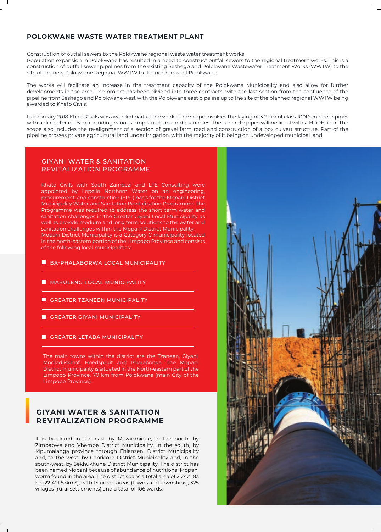# **POLOKWANE WASTE WATER TREATMENT PLANT**

Construction of outfall sewers to the Polokwane regional waste water treatment works

Population expansion in Polokwane has resulted in a need to construct outfall sewers to the regional treatment works. This is a construction of outfall sewer pipelines from the existing Seshego and Polokwane Wastewater Treatment Works (WWTW) to the site of the new Polokwane Regional WWTW to the north-east of Polokwane.

The works will facilitate an increase in the treatment capacity of the Polokwane Municipality and also allow for further developments in the area. The project has been divided into three contracts, with the last section from the confluence of the pipeline from Seshego and Polokwane west with the Polokwane east pipeline up to the site of the planned regional WWTW being awarded to Khato Civils.

In February 2018 Khato Civils was awarded part of the works. The scope involves the laying of 3.2 km of class 100D concrete pipes with a diameter of 1.5 m, including various drop structures and manholes. The concrete pipes will be lined with a HDPE liner. The scope also includes the re-alignment of a section of gravel farm road and construction of a box culvert structure. Part of the pipeline crosses private agricultural land under irrigation, with the majority of it being on undeveloped municipal land.

# GIYANI WATER & SANITATION REVITALIZATION PROGRAMME

Khato Civils with South Zambezi and LTE Consulting were appointed by Lepelle Northern Water on an engineering, procurement, and construction (EPC) basis for the Mopani District Municipality Water and Sanitation Revitalization Programme. The Programme was required to address the short term water and sanitation challenges in the Greater Giyani Local Municipality as well as provide medium and long term solutions to the water and sanitation challenges within the Mopani District Municipality. Mopani District Municipality is a Category C municipality located in the north-eastern portion of the Limpopo Province and consists of the following local municipalities:

- **BA-PHALABORWA LOCAL MUNICIPALITY**
- **MARULENG LOCAL MUNICIPALITY**
- GREATER TZANEEN MUNICIPALITY
- **GREATER GIYANI MUNICIPALITY**
- **GREATER LETABA MUNICIPALITY**

The main towns within the district are the Tzaneen, Giyani, Modjadjiskloof, Hoedspruit and Pharaborwa. The Mopani District municipality is situated in the North-eastern part of the Limpopo Province, 70 km from Polokwane (main City of the Limpopo Province).

# **GIYANI WATER & SANITATION REVITALIZATION PROGRAMME**

It is bordered in the east by Mozambique, in the north, by Zimbabwe and Vhembe District Municipality, in the south, by Mpumalanga province through Ehlanzeni District Municipality and, to the west, by Capricorn District Municipality and, in the south-west, by Sekhukhune District Municipality. The district has been named Mopani because of abundance of nutritional Mopani worm found in the area. The district spans a total area of 2 242 183 ha (22 421.83km²), with 15 urban areas (towns and townships), 325 villages (rural settlements) and a total of 106 wards.

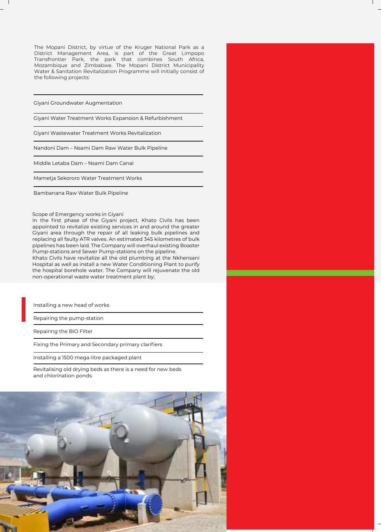The Mopani District, by virtue of the Kruger National Park as a District Management Area, is part of the Great Limpopo Transfrontier Park, the park that combines South Africa, Mozambique and Zimbabwe. The Mopani District Municipality Water & Sanitation Revitalization Programme will initially consist of the following projects:

Giyani Groundwater Augmentation

Giyani Water Treatment Works Expansion & Refurbishment

Giyani Wastewater Treatment Works Revitalization

Nandoni Dam – Nsami Dam Raw Water Bulk Pipeline

Middle Letaba Dam – Nsami Dam Canal

Mametja Sekororo Water Treatment Works

Bambanana Raw Water Bulk Pipeline

Scope of Emergency works in Giyani

In the first phase of the Giyani project, Khato Civils has been appointed to revitalize existing services in and around the greater Giyani area through the repair of all leaking bulk pipelines and replacing all faulty ATR valves. An estimated 345 kilometres of bulk pipelines has been laid. The Company will overhaul existing Boaster Pump-stations and Sewer Pump-stations on the pipeline.

Khato Civils have revitalize all the old plumbing at the Nkhensani Hospital as well as install a new Water Conditioning Plant to purify the hospital borehole water. The Company will rejuvenate the old non-operational waste water treatment plant by;

Installing a new head of works

Repairing the pump-station

Repairing the BIO Filter

Fixing the Primary and Secondary primary clarifiers

Installing a 1500 mega-litre packaged plant

Revitalising old drying beds as there is a need for new beds and chlorination ponds.



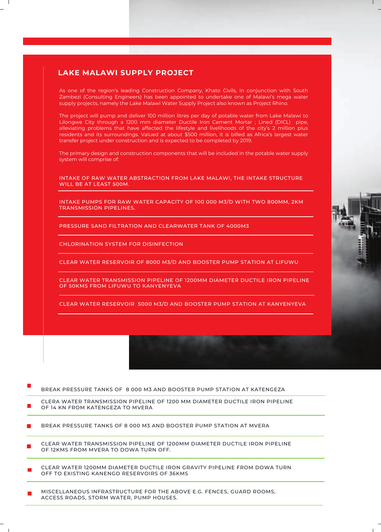# **LAKE MALAWI SUPPLY PROJECT**

As one of the region's leading Construction Company, Khato Civils, in conjunction with South Zambezi (Consulting Engineers) has been appointed to undertake one of Malawi's mega water supply projects, namely the Lake Malawi Water Supply Project also known as Project Rhino.

The project will pump and deliver 100 million litres per day of potable water from Lake Malawi to Lilongwe City through a 1200 mm diameter Ductile Iron Cement Mortar ; Lined (DICL) pipe, alleviating problems that have affected the lifestyle and livelihoods of the city's 2 million plus residents and its surroundings. Valued at about \$500 million, it is billed as Africa's largest water transfer project under construction and is expected to be completed by 2019.

The primary design and construction components that will be included in the potable water supply system will comprise of:

INTAKE OF RAW WATER ABSTRACTION FROM LAKE MALAWI, THE INTAKE STRUCTURE WILL BE AT LEAST 500M.

INTAKE PUMPS FOR RAW WATER CAPACITY OF 100 000 M3/D WITH TWO 800MM, 2KM TRANSMISSION PIPELINES.

PRESSURE SAND FILTRATION AND CLEARWATER TANK OF 4000M3

CHLORINATION SYSTEM FOR DISINFECTION

CLEAR WATER RESERVOIR OF 8000 M3/D AND BOOSTER PUMP STATION AT LIFUWU

CLEAR WATER TRANSMISSION PIPELINE OF 1200MM DIAMETER DUCTILE IRON PIPELINE OF 50KMS FROM LIFUWU TO KANYENYEVA

CLEAR WATER RESERVOIR 5000 M3/D AND BOOSTER PUMP STATION AT KANYENYEVA

#### BREAK PRESSURE TANKS OF 8 000 M3 AND BOOSTER PUMP STATION AT KATENGEZA

CLERA WATER TRANSMISSION PIPELINE OF 1200 MM DIAMETER DUCTILE IRON PIPELINE OF 14 KN FROM KATENGEZA TO MVERA

BREAK PRESSURE TANKS OF 8 000 M3 AND BOOSTER PUMP STATION AT MVERA  $\blacksquare$ 

CLEAR WATER TRANSMISSION PIPELINE OF 1200MM DIAMETER DUCTILE IRON PIPELINE OF 12KMS FROM MVERA TO DOWA TURN OFF.

- CLEAR WATER 1200MM DIAMETER DUCTILE IRON GRAVITY PIPELINE FROM DOWA TURN OFF TO EXISTING KANENGO RESERVOIRS OF 36KMS
- MISCELLANEOUS INFRASTRUCTURE FOR THE ABOVE E.G. FENCES, GUARD ROOMS, ACCESS ROADS, STORM WATER, PUMP HOUSES.

 $-1$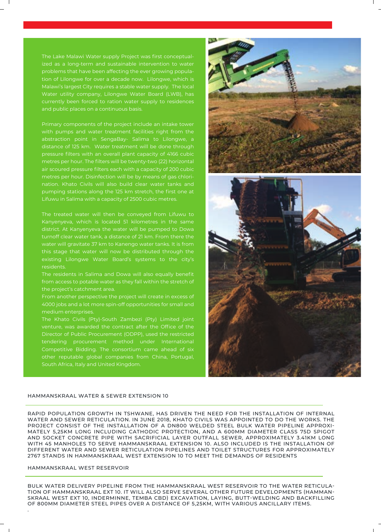The Lake Malawi Water supply Project was first conceptualized as a long-term and sustainable intervention to water problems that have been affecting the ever growing population of Lilongwe for over a decade now. Lilongwe, which is Malawi's largest City requires a stable water supply. The local Water utility company, Lilongwe Water Board (LWB), has currently been forced to ration water supply to residences and public places on a continuous basis.

Primary components of the project include an intake tower with pumps and water treatment facilities right from the abstraction point in SengaBay- Salima to Lilongwe, a distance of 125 km. Water treatment will be done through pressure filters with an overall plant capacity of 4166 cubic metres per hour. The filters will be twenty-two (22) horizontal air scoured pressure filters each with a capacity of 200 cubic metres per hour. Disinfection will be by means of gas chlorination. Khato Civils will also build clear water tanks and pumping stations along the 125 km stretch, the first one at Lifuwu in Salima with a capacity of 2500 cubic metres.

Kanyenyeva, which is located 51 kilometres in the same turnoff clear water tank, a distance of 21 km. From there the water will gravitate 37 km to Kanengo water tanks. It is from this stage that water will now be distributed through the existing Lilongwe Water Board's systems to the city's residents.

from access to potable water as they fall within the stretch of the project's catchment area.

From another perspective the project will create in excess of 4000 jobs and a lot more spin-off opportunities for small and

other reputable global companies from China, Portugal, South Africa, Italy and United Kingdom.



#### HAMMANSKRAAL WATER & SEWER EXTENSION 10

RAPID POPULATION GROWTH IN TSHWANE, HAS DRIVEN THE NEED FOR THE INSTALLATION OF INTERNAL WATER AND SEWER RETICULATION. IN JUNE 2018, KHATO CIVILS WAS APPOINTED TO DO THE WORKS. THE PROJECT CONSIST OF THE INSTALLATION OF A DN800 WELDED STEEL BULK WATER PIPELINE APPROXI-MATELY 5,25KM LONG INCLUDING CATHODIC PROTECTION, AND A 600MM DIAMETER CLASS 75D SPIGOT AND SOCKET CONCRETE PIPE WITH SACRIFICIAL LAYER OUTFALL SEWER, APPROXIMATELY 3.41KM LONG WITH 45 MANHOLES TO SERVE HAMMANSKRAAL EXTENSION 10. ALSO INCLUDED IS THE INSTALLATION OF DIFFERENT WATER AND SEWER RETICULATION PIPELINES AND TOILET STRUCTURES FOR APPROXIMATELY 2767 STANDS IN HAMMANSKRAAL WEST EXTENSION 10 TO MEET THE DEMANDS OF RESIDENTS

## HAMMANSKRAAL WEST RESERVOIR

.

BULK WATER DELIVERY PIPELINE FROM THE HAMMANSKRAAL WEST RESERVOIR TO THE WATER RETICULA-TION OF HAMMANSKRAAL EXT 10. IT WILL ALSO SERVE SEVERAL OTHER FUTURE DEVELOPMENTS (HAMMAN-SKRAAL WEST EXT 10, INDERMINNE, TEMBA CBD) EXCAVATION, LAYING, BUTT-WELDING AND BACKFILLING OF 800MM DIAMETER STEEL PIPES OVER A DISTANCE OF 5,25KM, WITH VARIOUS ANCILLARY ITEMS.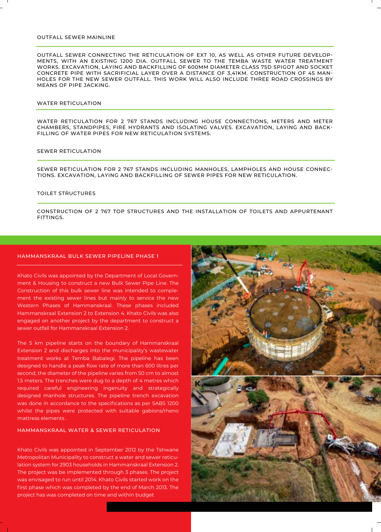### OUTFALL SEWER MAINLINE

OUTFALL SEWER CONNECTING THE RETICULATION OF EXT 10, AS WELL AS OTHER FUTURE DEVELOP-MENTS, WITH AN EXISTING 1200 DIA. OUTFALL SEWER TO THE TEMBA WASTE WATER TREATMENT WORKS. EXCAVATION, LAYING AND BACKFILLING OF 600MM DIAMETER CLASS 75D SPIGOT AND SOCKET CONCRETE PIPE WITH SACRIFICIAL LAYER OVER A DISTANCE OF 3,41KM. CONSTRUCTION OF 45 MAN-HOLES FOR THE NEW SEWER OUTFALL. THIS WORK WILL ALSO INCLUDE THREE ROAD CROSSINGS BY MEANS OF PIPE JACKING.

#### WATER RETICULATION

WATER RETICULATION FOR 2 767 STANDS INCLUDING HOUSE CONNECTIONS, METERS AND METER CHAMBERS, STANDPIPES, FIRE HYDRANTS AND ISOLATING VALVES. EXCAVATION, LAYING AND BACK-FILLING OF WATER PIPES FOR NEW RETICULATION SYSTEMS.

# SEWER RETICULATION

SEWER RETICULATION FOR 2 767 STANDS INCLUDING MANHOLES, LAMPHOLES AND HOUSE CONNEC-TIONS. EXCAVATION, LAYING AND BACKFILLING OF SEWER PIPES FOR NEW RETICULATION.

#### TOILET STRUCTURES

CONSTRUCTION OF 2 767 TOP STRUCTURES AND THE INSTALLATION OF TOILETS AND APPURTENANT **FITTINGS.** 

### HAMMANSKRAAL BULK SEWER PIPELINE PHASE 1

Khato Civils was appointed by the Department of Local Government & Housing to construct a new Bulk Sewer Pipe Line. The Construction of this bulk sewer line was intended to complement the existing sewer lines but mainly to service the new Western Phases of Hammanskraal. These phases included Hammanskraal Extension 2 to Extension 4. Khato Civils was also engaged on another project by the department to construct a sewer outfall for Hammanskraal Extension 2.

The 5 km pipeline starts on the boundary of Hammanskraal Extension 2 and discharges into the municipality's wastewater treatment works at Temba Babalegi. The pipeline has been designed to handle a peak flow rate of more than 600 litres per second, the diameter of the pipeline varies from 50 cm to almost 1.5 meters. The trenches were dug to a depth of 4 metres which required careful engineering ingenuity and strategically designed manhole structures. The pipeline trench excavation was done in accordance to the specifications as per SABS 1200 whilst the pipes were protected with suitable gabions/rheno mattress elements .

# HAMMANSKRAAL WATER & SEWER RETICULATION

Khato Civils was appointed in September 2012 by the Tshwane Metropolitan Municipality to construct a water and sewer reticulation system for 2903 households in Hammanskraal Extension 2. The project was be implemented through 3 phases. The project was envisaged to run until 2014. Khato Civils started work on the first phase which was completed by the end of March 2013. The project has was completed on time and within budget

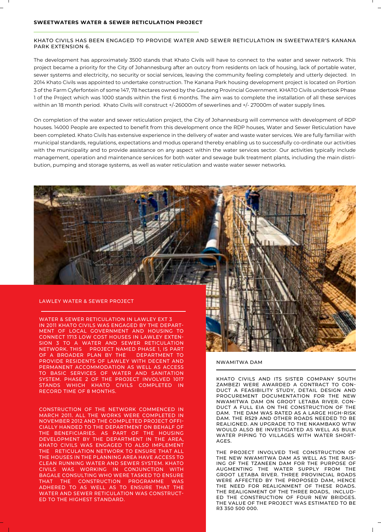#### KHATO CIVILS HAS BEEN ENGAGED TO PROVIDE WATER AND SEWER RETICULATION IN SWEETWATER'S KANANA PARK EXTENSION 6.

The development has approximately 3500 stands that Khato Civils will have to connect to the water and sewer network. This project became a priority for the City of Johannesburg after an outcry from residents on lack of housing, lack of portable water, sewer systems and electricity, no security or social services, leaving the community feeling completely and utterly dejected. In 2014 Khato Civils was appointed to undertake construction. The Kanana Park housing development project is located on Portion 3 of the Farm Cyferfontein of some 147, 78 hectares owned by the Gauteng Provincial Government. KHATO Civils undertook Phase 1 of the Project which was 1000 stands within the first 6 months. The aim was to complete the installation of all these services within an 18 month period. Khato Civils will construct +/-26000m of sewerlines and +/- 27000m of water supply lines.

On completion of the water and sewer reticulation project, the City of Johannesburg will commence with development of RDP houses. 14000 People are expected to benefit from this development once the RDP houses, Water and Sewer Reticulation have been completed. Khato Civils has extensive experience in the delivery of water and waste water services. We are fully familiar with municipal standards, regulations, expectations and modus operand thereby enabling us to successfully co-ordinate our activities with the municipality and to provide assistance on any aspect within the water services sector. Our activities typically include management, operation and maintenance services for both water and sewage bulk treatment plants, including the main distribution, pumping and storage systems, as well as water reticulation and waste water sewer networks.

# LAWLEY WATER & SEWER PROJECT

WATER & SEWER RETICULATION IN LAWLEY EXT 3 IN 2011 KHATO CIVILS WAS ENGAGED BY THE DEPART-MENT OF LOCAL GOVERNMENT AND HOUSING TO CONNECT 1713 LOW COST HOUSES IN LAWLEY EXTEN-SION 3 TO A WATER AND SEWER RETICULATION NETWORK. THIS PROJECT NAMED PHASE 1, IS PART<br>OF A BROADER PLAN BY THE DEPARTMENT TO OF A BROADER PLAN BY THE PROVIDE RESIDENTS OF LAWLEY WITH DECENT AND PERMANENT ACCOMMODATION AS WELL AS ACCESS TO BASIC SERVICES OF WATER AND SANITATION SYSTEM. PHASE 2 OF THE PROJECT INVOLVED 1017 STANDS WHICH KHATO CIVILS COMPLETED IN RECORD TIME OF 8 MONTHS.

CONSTRUCTION OF THE NETWORK COMMENCED IN MARCH 2011. ALL THE WORKS WERE COMPLETED IN NOVEMBER 2012 AND THE COMPLETED PROJECT OFFI-CIALLY HANDED TO THE DEPARTMENT ON BEHALF OF THE BENEFICIARIES. AS PART OF THE HOUSING DEVELOPMENT BY THE DEPARTMENT IN THE AREA, KHATO CIVILS WAS ENGAGED TO ALSO IMPLEMENT THE RETICULATION NETWORK TO ENSURE THAT ALL THE HOUSES IN THE PLANNING AREA HAVE ACCESS TO CLEAN RUNNING WATER AND SEWER SYSTEM. KHATO CIVILS WAS WORKING IN CONJUNCTION WITH BAGALE CONSULTING WHO WERE TASKED TO ENSURE THAT THE CONSTRUCTION PROGRAMME WAS ADHERED TO AS WELL AS TO ENSURE THAT THE WATER AND SEWER RETICULATION WAS CONSTRUCT-ED TO THE HIGHEST STANDARD.



NWAMITWA DAM

KHATO CIVILS AND ITS SISTER COMPANY SOUTH ZAMBEZI WERE AWARDED A CONTRACT TO CON-DUCT A FEASIBILITY STUDY, DETAIL DESIGN AND PROCUREMENT DOCUMENTATION FOR THE NEW NWAMITWA DAM ON GROOT LETABA RIVER. CON-DUCT A FULL EIA ON THE CONSTRUCTION OF THE DAM. THE DAM WAS RATED AS A LARGE HIGH-RISK DAM. THE R529 AND OTHER ROADS NEEDED TO BE REALIGNED. AN UPGRADE TO THE NKAMBAKO WTW WOULD ALSO BE INVESTIGATED AS WELL AS BULK WATER PIPING TO VILLAGES WITH WATER SHORT-AGES.

THE PROJECT INVOLVED THE CONSTRUCTION OF THE NEW NWAMITWA DAM AS WELL AS THE RAIS-ING OF THE TZANEEN DAM FOR THE PURPOSE OF AUGMENTING THE WATER SUPPLY FROM THE GROOT LETABA RIVER. THREE PROVINCIAL ROADS WERE AFFECTED BY THE PROPOSED DAM, HENCE THE NEED FOR REALIGNMENT OF THESE ROADS. THE REALIGNMENT OF THE THREE ROADS, INCLUD-ED THE CONSTRUCTION OF FOUR NEW BRIDGES. THE VALUE OF THE PROJECT WAS ESTIMATED TO BE R3 350 500 000.

 $\overline{\phantom{a}}$